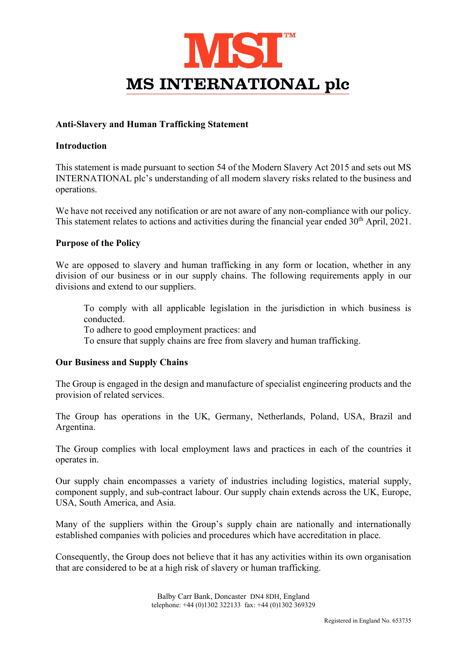

# Anti-Slavery and Human Trafficking Statement

## **Introduction**

This statement is made pursuant to section 54 of the Modern Slavery Act 2015 and sets out MS INTERNATIONAL plc's understanding of all modern slavery risks related to the business and operations.

We have not received any notification or are not aware of any non-compliance with our policy. This statement relates to actions and activities during the financial year ended 30<sup>th</sup> April, 2021.

# Purpose of the Policy

We are opposed to slavery and human trafficking in any form or location, whether in any division of our business or in our supply chains. The following requirements apply in our divisions and extend to our suppliers.

To comply with all applicable legislation in the jurisdiction in which business is conducted.

To adhere to good employment practices: and

To ensure that supply chains are free from slavery and human trafficking.

### Our Business and Supply Chains

The Group is engaged in the design and manufacture of specialist engineering products and the provision of related services.

The Group has operations in the UK, Germany, Netherlands, Poland, USA, Brazil and Argentina.

The Group complies with local employment laws and practices in each of the countries it operates in.

Our supply chain encompasses a variety of industries including logistics, material supply, component supply, and sub-contract labour. Our supply chain extends across the UK, Europe, USA, South America, and Asia.

Many of the suppliers within the Group's supply chain are nationally and internationally established companies with policies and procedures which have accreditation in place.

Consequently, the Group does not believe that it has any activities within its own organisation that are considered to be at a high risk of slavery or human trafficking.

> Balby Carr Bank, Doncaster DN4 8DH, England telephone: +44 (0)1302 322133 fax: +44 (0)1302 369329